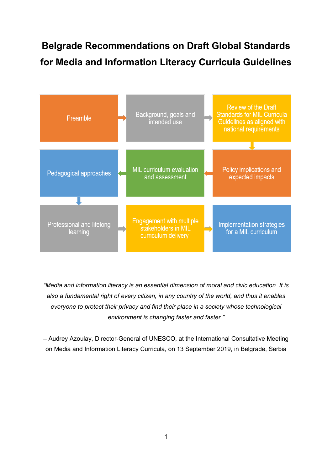# **Belgrade Recommendations on Draft Global Standards for Media and Information Literacy Curricula Guidelines**



*"Media and information literacy is an essential dimension of moral and civic education. It is also a fundamental right of every citizen, in any country of the world, and thus it enables everyone to protect their privacy and find their place in a society whose technological environment is changing faster and faster."*

– Audrey Azoulay, Director-General of UNESCO, at the International Consultative Meeting on Media and Information Literacy Curricula, on 13 September 2019, in Belgrade, Serbia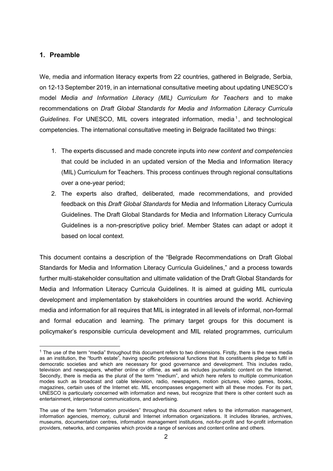#### **1. Preamble**

We, media and information literacy experts from 22 countries, gathered in Belgrade, Serbia, on 12-13 September 2019, in an international consultative meeting about updating UNESCO's model *Media and Information Literacy (MIL) Curriculum for Teachers* and to make recommendations on *Draft Global Standards for Media and Information Literacy Curricula Guidelines*. For UNESCO, MIL covers integrated information, media<sup>[1](#page-1-0)</sup>, and technological competencies. The international consultative meeting in Belgrade facilitated two things:

- 1. The experts discussed and made concrete inputs into *new content and competencies* that could be included in an updated version of the Media and Information literacy (MIL) Curriculum for Teachers. This process continues through regional consultations over a one-year period;
- 2. The experts also drafted, deliberated, made recommendations, and provided feedback on this *Draft Global Standards* for Media and Information Literacy Curricula Guidelines. The Draft Global Standards for Media and Information Literacy Curricula Guidelines is a non-prescriptive policy brief. Member States can adapt or adopt it based on local context.

This document contains a description of the "Belgrade Recommendations on Draft Global Standards for Media and Information Literacy Curricula Guidelines," and a process towards further multi-stakeholder consultation and ultimate validation of the Draft Global Standards for Media and Information Literacy Curricula Guidelines. It is aimed at guiding MIL curricula development and implementation by stakeholders in countries around the world. Achieving media and information for all requires that MIL is integrated in all levels of informal, non-formal and formal education and learning. The primary target groups for this document is policymaker's responsible curricula development and MIL related programmes, curriculum

<span id="page-1-0"></span><sup>&</sup>lt;sup>1</sup> The use of the term "media" throughout this document refers to two dimensions. Firstly, there is the news media as an institution, the "fourth estate", having specific professional functions that its constituents pledge to fulfil in democratic societies and which are necessary for good governance and development. This includes radio, television and newspapers, whether online or offline, as well as includes journalistic content on the Internet. Secondly, there is media as the plural of the term "medium", and which here refers to multiple communication modes such as broadcast and cable television, radio, newspapers, motion pictures, video games, books, magazines, certain uses of the Internet etc. MIL encompasses engagement with all these modes. For its part, UNESCO is particularly concerned with information and news, but recognize that there is other content such as entertainment, interpersonal communications, and advertising.

The use of the term "Information providers" throughout this document refers to the information management, information agencies, memory, cultural and Internet information organizations. It includes libraries, archives, museums, documentation centres, information management institutions, not-for-profit and for-profit information providers, networks, and companies which provide a range of services and content online and others.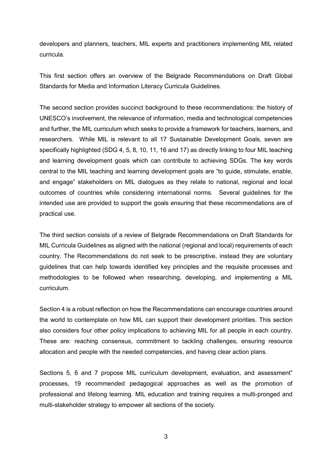developers and planners, teachers, MIL experts and practitioners implementing MIL related curricula.

This first section offers an overview of the Belgrade Recommendations on Draft Global Standards for Media and Information Literacy Curricula Guidelines.

The second section provides succinct background to these recommendations: the history of UNESCO's involvement, the relevance of information, media and technological competencies and further, the MIL curriculum which seeks to provide a framework for teachers, learners, and researchers. While MIL is relevant to all 17 Sustainable Development Goals, seven are specifically highlighted (SDG 4, 5, 8, 10, 11, 16 and 17) as directly linking to four MIL teaching and learning development goals which can contribute to achieving SDGs. The key words central to the MIL teaching and learning development goals are "to guide, stimulate, enable, and engage" stakeholders on MIL dialogues as they relate to national, regional and local outcomes of countries while considering international norms. Several guidelines for the intended use are provided to support the goals ensuring that these recommendations are of practical use.

The third section consists of a review of Belgrade Recommendations on Draft Standards for MIL Curricula Guidelines as aligned with the national (regional and local) requirements of each country. The Recommendations do not seek to be prescriptive, instead they are voluntary guidelines that can help towards identified key principles and the requisite processes and methodologies to be followed when researching, developing, and implementing a MIL curriculum.

Section 4 is a robust reflection on how the Recommendations can encourage countries around the world to contemplate on how MIL can support their development priorities. This section also considers four other policy implications to achieving MIL for all people in each country. These are: reaching consensus, commitment to tackling challenges, ensuring resource allocation and people with the needed competencies, and having clear action plans.

Sections 5, 6 and 7 propose MIL curriculum development, evaluation, and assessment" processes, 19 recommended pedagogical approaches as well as the promotion of professional and lifelong learning. MIL education and training requires a multi-pronged and multi-stakeholder strategy to empower all sections of the society.

3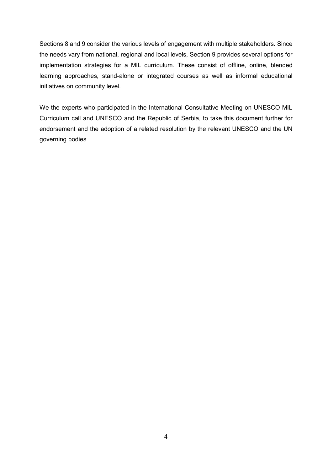Sections 8 and 9 consider the various levels of engagement with multiple stakeholders. Since the needs vary from national, regional and local levels, Section 9 provides several options for implementation strategies for a MIL curriculum. These consist of offline, online, blended learning approaches, stand-alone or integrated courses as well as informal educational initiatives on community level.

We the experts who participated in the International Consultative Meeting on UNESCO MIL Curriculum call and UNESCO and the Republic of Serbia, to take this document further for endorsement and the adoption of a related resolution by the relevant UNESCO and the UN governing bodies.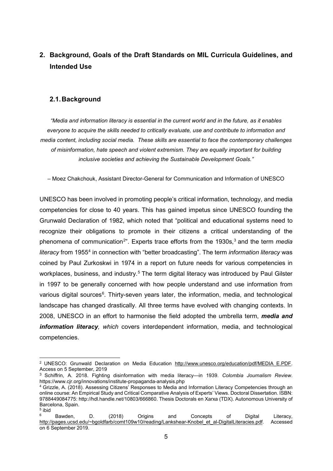# **2. Background, Goals of the Draft Standards on MIL Curricula Guidelines, and Intended Use**

#### **2.1.Background**

*"Media and information literacy is essential in the current world and in the future, as it enables everyone to acquire the skills needed to critically evaluate, use and contribute to information and media content, including social media. These skills are essential to face the contemporary challenges of misinformation, hate speech and violent extremism. They are equally important for building inclusive societies and achieving the Sustainable Development Goals."*

– Moez Chakchouk, Assistant Director-General for Communication and Information of UNESCO

UNESCO has been involved in promoting people's critical information, technology, and media competencies for close to 40 years. This has gained impetus since UNESCO founding the Grunwald Declaration of 1982, which noted that "political and educational systems need to recognize their obligations to promote in their citizens a critical understanding of the phenomena of communication<sup>[2](#page-4-0)</sup>". Experts trace efforts from the 19[3](#page-4-1)0s,<sup>3</sup> and the term *media literacy* from 1955[4](#page-4-2) in connection with "better broadcasting". The term *information literacy* was coined by Paul Zurkoskwi in 1974 in a report on future needs for various competencies in workplaces, business, and industry.<sup>[5](#page-4-3)</sup> The term digital literacy was introduced by Paul Gilster in 1997 to be generally concerned with how people understand and use information from various digital sources<sup>[6](#page-4-4)</sup>. Thirty-seven years later, the information, media, and technological landscape has changed drastically. All three terms have evolved with changing contexts. In 2008, UNESCO in an effort to harmonise the field adopted the umbrella term, *media and information literacy, which* covers interdependent information, media, and technological competencies.

<span id="page-4-0"></span><sup>&</sup>lt;sup>2</sup> UNESCO: Grunwald Declaration on Media Education [http://www.unesco.org/education/pdf/MEDIA\\_E.PDF.](http://www.unesco.org/education/pdf/MEDIA_E.PDF) Access on 5 September, 2019

<span id="page-4-1"></span><sup>3</sup> Schiffrin, A. 2018. Fighting disinformation with media literacy—in 1939. *Colombia Journalism Review*. https://www.cjr.org/innovations/institute-propaganda-analysis.php

<span id="page-4-2"></span><sup>4</sup> Grizzle, A. (2018). Assessing Citizens' Responses to Media and Information Literacy Competencies through an online course: An Empirical Study and Critical Comparative Analysis of Experts' Views. Doctoral Dissertation. ISBN: 9788449084775: http://hdl.handle.net/10803/666860. Thesis Doctorals en Xarxa (TDX). Autonomous University of Barcelona, Spain. <sup>5</sup> ibid

<span id="page-4-4"></span><span id="page-4-3"></span> $^6$  Bawden, D. (2018) Origins and Concepts of Digital Literacy, [http://pages.ucsd.edu/~bgoldfarb/comt109w10/reading/Lankshear-Knobel\\_et\\_al-DigitalLiteracies.pdf.](http://pages.ucsd.edu/%7Ebgoldfarb/comt109w10/reading/Lankshear-Knobel_et_al-DigitalLiteracies.pdf) Accessed on 6 September 2019.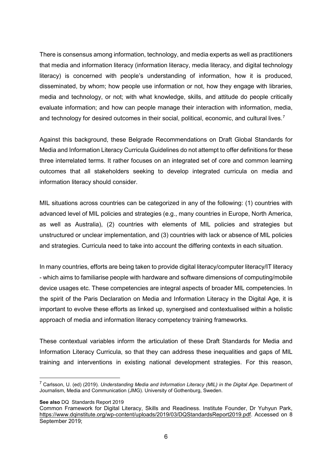There is consensus among information, technology, and media experts as well as practitioners that media and information literacy (information literacy, media literacy, and digital technology literacy) is concerned with people's understanding of information, how it is produced, disseminated, by whom; how people use information or not, how they engage with libraries, media and technology, or not; with what knowledge, skills, and attitude do people critically evaluate information; and how can people manage their interaction with information, media, and technology for desired outcomes in their social, political, economic, and cultural lives.<sup>[7](#page-5-0)</sup>

Against this background, these Belgrade Recommendations on Draft Global Standards for Media and Information Literacy Curricula Guidelines do not attempt to offer definitions for these three interrelated terms. It rather focuses on an integrated set of core and common learning outcomes that all stakeholders seeking to develop integrated curricula on media and information literacy should consider.

MIL situations across countries can be categorized in any of the following: (1) countries with advanced level of MIL policies and strategies (e.g., many countries in Europe, North America, as well as Australia), (2) countries with elements of MIL policies and strategies but unstructured or unclear implementation, and (3) countries with lack or absence of MIL policies and strategies. Curricula need to take into account the differing contexts in each situation.

In many countries, efforts are being taken to provide digital literacy/computer literacy/IT literacy - which aims to familiarise people with hardware and software dimensions of computing/mobile device usages etc. These competencies are integral aspects of broader MIL competencies. In the spirit of the Paris Declaration on Media and Information Literacy in the Digital Age, it is important to evolve these efforts as linked up, synergised and contextualised within a holistic approach of media and information literacy competency training frameworks.

These contextual variables inform the articulation of these Draft Standards for Media and Information Literacy Curricula, so that they can address these inequalities and gaps of MIL training and interventions in existing national development strategies. For this reason,

**See also** DQ Standards Report 2019

<span id="page-5-0"></span> <sup>7</sup> Carlsson, U. (ed) (2019). *Understanding Media and Information Literacy (MIL) in the Digital Age*. Department of Journalism, Media and Communication (JMG). University of Gothenburg, Sweden.

Common Framework for Digital Literacy, Skills and Readiness. Institute Founder, Dr Yuhyun Park, [https://www.dqinstitute.org/wp-content/uploads/2019/03/DQStandardsReport2019.pdf.](https://www.dqinstitute.org/wp-content/uploads/2019/03/DQGlobalStandardsReport2019.pdf) Accessed on 8 September 2019;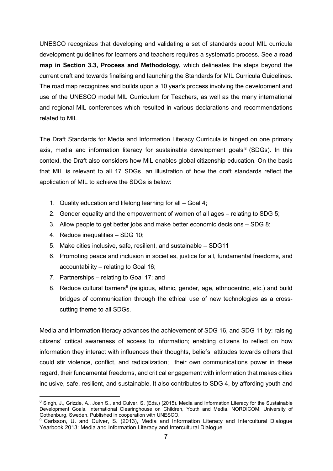UNESCO recognizes that developing and validating a set of standards about MIL curricula development guidelines for learners and teachers requires a systematic process. See a **road map in Section 3.3, Process and Methodology,** which delineates the steps beyond the current draft and towards finalising and launching the Standards for MIL Curricula Guidelines. The road map recognizes and builds upon a 10 year's process involving the development and use of the UNESCO model MIL Curriculum for Teachers, as well as the many international and regional MIL conferences which resulted in various declarations and recommendations related to MIL.

The Draft Standards for Media and Information Literacy Curricula is hinged on one primary axis, media and information literacy for sustainable development goals  $8$  (SDGs). In this context, the Draft also considers how MIL enables global citizenship education. On the basis that MIL is relevant to all 17 SDGs, an illustration of how the draft standards reflect the application of MIL to achieve the SDGs is below:

- 1. Quality education and lifelong learning for all Goal 4;
- 2. Gender equality and the empowerment of women of all ages relating to SDG 5;
- 3. Allow people to get better jobs and make better economic decisions SDG 8;
- 4. Reduce inequalities SDG 10;
- 5. Make cities inclusive, safe, resilient, and sustainable SDG11
- 6. Promoting peace and inclusion in societies, justice for all, fundamental freedoms, and accountability – relating to Goal 16;
- 7. Partnerships relating to Goal 17; and
- 8. Reduce cultural barriers<sup>9</sup> (religious, ethnic, gender, age, ethnocentric, etc.) and build bridges of communication through the ethical use of new technologies as a crosscutting theme to all SDGs.

Media and information literacy advances the achievement of SDG 16, and SDG 11 by: raising citizens' critical awareness of access to information; enabling citizens to reflect on how information they interact with influences their thoughts, beliefs, attitudes towards others that could stir violence, conflict, and radicalization; their own communications power in these regard, their fundamental freedoms, and critical engagement with information that makes cities inclusive, safe, resilient, and sustainable. It also contributes to SDG 4, by affording youth and

<span id="page-6-0"></span><sup>&</sup>lt;sup>8</sup> Singh, J., Grizzle, A., Joan S., and Culver, S. (Eds.) (2015). Media and Information Literacy for the Sustainable Development Goals. International Clearinghouse on Children, Youth and Media, NORDICOM, University of Gothenburg, Sweden. Published in cooperation with UNESCO.

<span id="page-6-1"></span><sup>9</sup> Carlsson, U. and Culver, S. (2013), Media and Information Literacy and Intercultural Dialogue Yearbook 2013: Media and Information Literacy and Intercultural Dialogue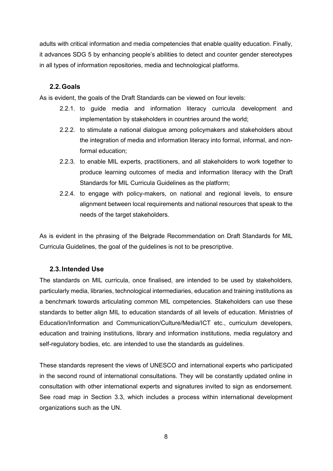adults with critical information and media competencies that enable quality education. Finally, it advances SDG 5 by enhancing people's abilities to detect and counter gender stereotypes in all types of information repositories, media and technological platforms.

#### **2.2.Goals**

As is evident, the goals of the Draft Standards can be viewed on four levels:

- 2.2.1. to guide media and information literacy curricula development and implementation by stakeholders in countries around the world;
- 2.2.2. to stimulate a national dialogue among policymakers and stakeholders about the integration of media and information literacy into formal, informal, and nonformal education;
- 2.2.3. to enable MIL experts, practitioners, and all stakeholders to work together to produce learning outcomes of media and information literacy with the Draft Standards for MIL Curricula Guidelines as the platform;
- 2.2.4. to engage with policy-makers, on national and regional levels, to ensure alignment between local requirements and national resources that speak to the needs of the target stakeholders.

As is evident in the phrasing of the Belgrade Recommendation on Draft Standards for MIL Curricula Guidelines, the goal of the guidelines is not to be prescriptive.

#### **2.3.Intended Use**

The standards on MIL curricula, once finalised, are intended to be used by stakeholders, particularly media, libraries, technological intermediaries, education and training institutions as a benchmark towards articulating common MIL competencies. Stakeholders can use these standards to better align MIL to education standards of all levels of education. Ministries of Education/Information and Communication/Culture/Media/ICT etc., curriculum developers, education and training institutions, library and information institutions, media regulatory and self-regulatory bodies, etc. are intended to use the standards as guidelines.

These standards represent the views of UNESCO and international experts who participated in the second round of international consultations. They will be constantly updated online in consultation with other international experts and signatures invited to sign as endorsement. See road map in Section 3.3, which includes a process within international development organizations such as the UN.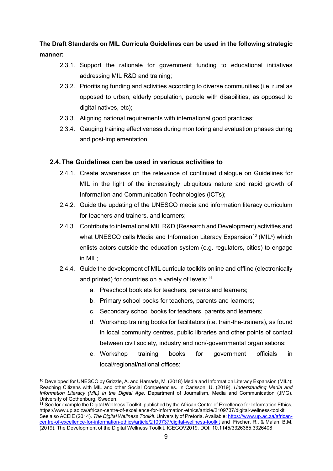**The Draft Standards on MIL Curricula Guidelines can be used in the following strategic manner:**

- 2.3.1. Support the rationale for government funding to educational initiatives addressing MIL R&D and training;
- 2.3.2. Prioritising funding and activities according to diverse communities (i.e. rural as opposed to urban, elderly population, people with disabilities, as opposed to digital natives, etc);
- 2.3.3. Aligning national requirements with international good practices;
- 2.3.4. Gauging training effectiveness during monitoring and evaluation phases during and post-implementation.

#### **2.4.The Guidelines can be used in various activities to**

- 2.4.1. Create awareness on the relevance of continued dialogue on Guidelines for MIL in the light of the increasingly ubiquitous nature and rapid growth of Information and Communication Technologies (ICTs);
- 2.4.2. Guide the updating of the UNESCO media and information literacy curriculum for teachers and trainers, and learners;
- 2.4.3. Contribute to international MIL R&D (Research and Development) activities and what UNESCO calls Media and Information Literacy Expansion $^{10}$  $^{10}$  $^{10}$  (MIL<sup>x</sup>) which enlists actors outside the education system (e.g. regulators, cities) to engage in MIL;
- 2.4.4. Guide the development of MIL curricula toolkits online and offline (electronically and printed) for countries on a variety of levels:<sup>[11](#page-8-1)</sup>
	- a. Preschool booklets for teachers, parents and learners;
	- b. Primary school books for teachers, parents and learners;
	- c. Secondary school books for teachers, parents and learners;
	- d. Workshop training books for facilitators (i.e. train-the-trainers), as found in local community centres, public libraries and other points of contact between civil society, industry and non/-governmental organisations;
	- e. Workshop training books for government officials in local/regional/national offices;

<span id="page-8-0"></span> <sup>10</sup> Developed for UNESCO by Grizzle, A. and Hamada, M. (2018) Media and Information Literacy Expansion (MILx ): Reaching Citizens with MIL and other Social Competencies. In Carlsson, U. (2019). *Understanding Media and Information Literacy (MIL) in the Digital Age*. Department of Journalism, Media and Communication (JMG). University of Gothenburg, Sweden.

<span id="page-8-1"></span><sup>&</sup>lt;sup>11</sup> See for example the Digital Wellness Toolkit, published by the African Centre of Excellence for Information Ethic[s,](https://www.up.ac.za/african-centre-of-excellence-for-information-ethics/article/2109737/digital-wellness-toolkit) <https://www.up.ac.za/african-centre-of-excellence-for-information-ethics/article/2109737/digital-wellness-toolkit> See also ACEIE (2014). *The Digital Wellness Toolkit*. University of Pretoria. Available[: https://www.up.ac.za/african](https://www.up.ac.za/african-centre-of-excellence-for-information-ethics/article/2109737/digital-wellness-toolkit)[centre-of-excellence-for-information-ethics/article/2109737/digital-wellness-toolkit](https://www.up.ac.za/african-centre-of-excellence-for-information-ethics/article/2109737/digital-wellness-toolkit) and Fischer, R., & Malan, B.M. (2019). The Development of the Digital Wellness Toolkit. ICEGOV2019. DOI: 10.1145/3326365.3326408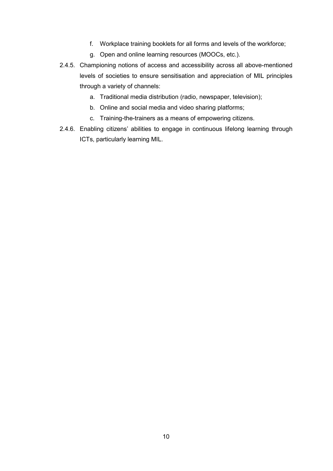- f. Workplace training booklets for all forms and levels of the workforce;
- g. Open and online learning resources (MOOCs, etc.).
- 2.4.5. Championing notions of access and accessibility across all above-mentioned levels of societies to ensure sensitisation and appreciation of MIL principles through a variety of channels:
	- a. Traditional media distribution (radio, newspaper, television);
	- b. Online and social media and video sharing platforms;
	- c. Training-the-trainers as a means of empowering citizens.
- 2.4.6. Enabling citizens' abilities to engage in continuous lifelong learning through ICTs, particularly learning MIL.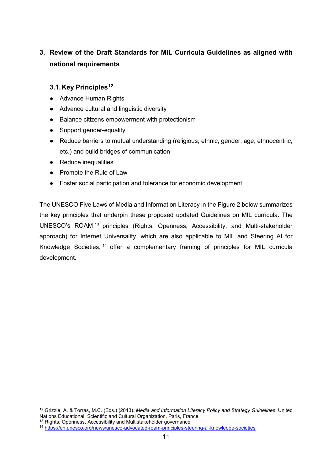# **3. Review of the Draft Standards for MIL Curricula Guidelines as aligned with national requirements**

## **3.1.Key Principles[12](#page-10-0)**

- Advance Human Rights
- Advance cultural and linguistic diversity
- Balance citizens empowerment with protectionism
- Support gender-equality
- Reduce barriers to mutual understanding (religious, ethnic, gender, age, ethnocentric, etc.) and build bridges of communication
- Reduce inequalities
- Promote the Rule of Law
- Foster social participation and tolerance for economic development

The UNESCO Five Laws of Media and Information Literacy in the Figure 2 below summarizes the key principles that underpin these proposed updated Guidelines on MIL curricula. The UNESCO's ROAM [13](#page-10-1) principles (Rights, Openness, Accessibility, and Multi-stakeholder approach) for Internet Universality, which are also applicable to MIL and Steering AI for Knowledge Societies, [14](#page-10-2) offer a complementary framing of principles for MIL curricula development.

<span id="page-10-0"></span> <sup>12</sup> Grizzle, A. & Torras, M.C. (Eds.) (2013). *Media and Information Literacy Policy and Strategy Guidelines*. United Nations Educational, Scientific and Cultural Organization. Paris, France.

<span id="page-10-1"></span><sup>&</sup>lt;sup>13</sup> Rights, Openness, Accessibility and Multistakeholder governance

<span id="page-10-2"></span><sup>14</sup> <https://en.unesco.org/news/unesco-advocated-roam-principles-steering-ai-knowledge-societies>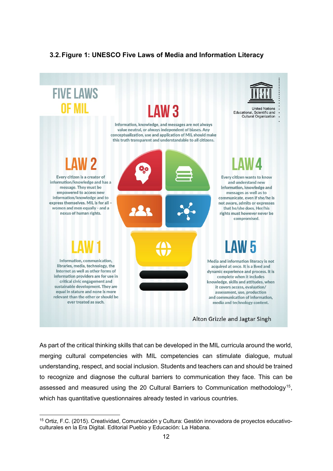# **3.2.Figure 1: UNESCO Five Laws of Media and Information Literacy**



As part of the critical thinking skills that can be developed in the MIL curricula around the world, merging cultural competencies with MIL competencies can stimulate dialogue, mutual understanding, respect, and social inclusion. Students and teachers can and should be trained to recognize and diagnose the cultural barriers to communication they face. This can be assessed and measured using the 20 Cultural Barriers to Communication methodology<sup>[15](#page-11-0)</sup>, which has quantitative questionnaires already tested in various countries.

<span id="page-11-0"></span> <sup>15</sup> Ortiz, F.C. (2015). Creatividad, Comunicación y Cultura: Gestión innovadora de proyectos educativoculturales en la Era Digital. Editorial Pueblo y Educación: La Habana.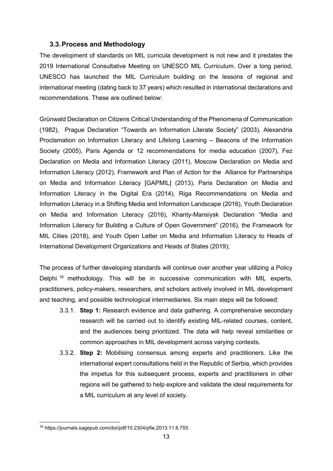#### **3.3.Process and Methodology**

The development of standards on MIL curricula development is not new and it predates the 2019 International Consultative Meeting on UNESCO MIL Curriculum. Over a long period, UNESCO has launched the MIL Curriculum building on the lessons of regional and international meeting (dating back to 37 years) which resulted in international declarations and recommendations. These are outlined below:

Grünwald Declaration on Citizens Critical Understanding of the Phenomena of Communication (1982), Prague Declaration "Towards an Information Literate Society" (2003), Alexandria Proclamation on Information Literacy and Lifelong Learning – Beacons of the Information Society (2005), Paris Agenda or 12 recommendations for media education (2007), Fez Declaration on Media and Information Literacy (2011), Moscow Declaration on Media and Information Literacy (2012), Framework and Plan of Action for the Alliance for Partnerships on Media and Information Literacy [GAPMIL] (2013), Paris Declaration on Media and Information Literacy in the Digital Era (2014), Riga Recommendations on Media and Information Literacy in a Shifting Media and Information Landscape (2016), Youth Declaration on Media and Information Literacy (2016), Khanty-Mansiysk Declaration "Media and Information Literacy for Building a Culture of Open Government" (2016), the Framework for MIL Cities (2018), and Youth Open Letter on Media and Information Literacy to Heads of International Development Organizations and Heads of States (2019);

The process of further developing standards will continue over another year utilizing a Policy Delphi<sup>[16](#page-12-0)</sup> methodology. This will be in successive communication with MIL experts, practitioners, policy-makers, researchers, and scholars actively involved in MIL development and teaching, and possible technological intermediaries. Six main steps will be followed:

- 3.3.1. **Step 1:** Research evidence and data gathering. A comprehensive secondary research will be carried out to identify existing MIL-related courses, content, and the audiences being prioritized. The data will help reveal similarities or common approaches in MIL development across varying contexts.
- 3.3.2. **Step 2:** Mobilising consensus among experts and practitioners. Like the international expert consultations held in the Republic of Serbia, which provides the impetus for this subsequent process, experts and practitioners in other regions will be gathered to help explore and validate the ideal requirements for a MIL curriculum at any level of society.

<span id="page-12-0"></span> <sup>16</sup> https://journals.sagepub.com/doi/pdf/10.2304/pfie.2013.11.6.755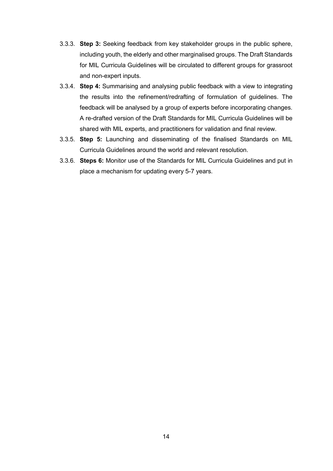- 3.3.3. **Step 3:** Seeking feedback from key stakeholder groups in the public sphere, including youth, the elderly and other marginalised groups. The Draft Standards for MIL Curricula Guidelines will be circulated to different groups for grassroot and non-expert inputs.
- 3.3.4. **Step 4:** Summarising and analysing public feedback with a view to integrating the results into the refinement/redrafting of formulation of guidelines. The feedback will be analysed by a group of experts before incorporating changes. A re-drafted version of the Draft Standards for MIL Curricula Guidelines will be shared with MIL experts, and practitioners for validation and final review.
- 3.3.5. **Step 5:** Launching and disseminating of the finalised Standards on MIL Curricula Guidelines around the world and relevant resolution.
- 3.3.6. **Steps 6:** Monitor use of the Standards for MIL Curricula Guidelines and put in place a mechanism for updating every 5-7 years.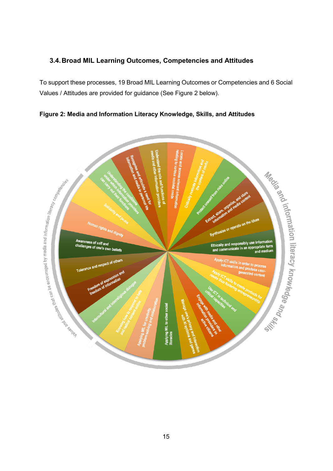## **3.4.Broad MIL Learning Outcomes, Competencies and Attitudes**

To support these processes, 19 Broad MIL Learning Outcomes or Competencies and 6 Social Values / Attitudes are provided for guidance (See Figure 2 below).

**Figure 2: Media and Information Literacy Knowledge, Skills, and Attitudes**

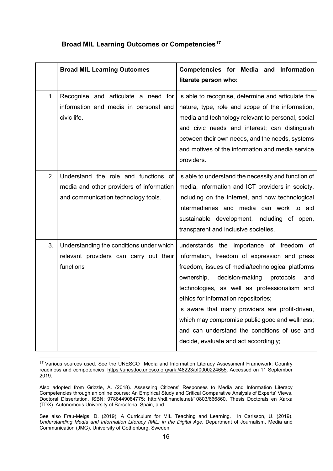|  |  |  | <b>Broad MIL Learning Outcomes or Competencies<sup>17</sup></b> |
|--|--|--|-----------------------------------------------------------------|
|--|--|--|-----------------------------------------------------------------|

|    | <b>Broad MIL Learning Outcomes</b>                                                                                      | Competencies for Media and Information<br>literate person who:                                                                                                                                                                                                                                                                                                                                                                                                                          |
|----|-------------------------------------------------------------------------------------------------------------------------|-----------------------------------------------------------------------------------------------------------------------------------------------------------------------------------------------------------------------------------------------------------------------------------------------------------------------------------------------------------------------------------------------------------------------------------------------------------------------------------------|
| 1. | Recognise and articulate a need for<br>information and media in personal and<br>civic life.                             | is able to recognise, determine and articulate the<br>nature, type, role and scope of the information,<br>media and technology relevant to personal, social<br>and civic needs and interest; can distinguish<br>between their own needs, and the needs, systems<br>and motives of the information and media service<br>providers.                                                                                                                                                       |
| 2. | Understand the role and functions of<br>media and other providers of information<br>and communication technology tools. | is able to understand the necessity and function of<br>media, information and ICT providers in society,<br>including on the Internet, and how technological<br>intermediaries and media can work to aid<br>sustainable development, including of open,<br>transparent and inclusive societies.                                                                                                                                                                                          |
| 3. | Understanding the conditions under which<br>relevant providers can carry out their<br>functions                         | understands the importance of freedom of<br>information, freedom of expression and press<br>freedom, issues of media/technological platforms<br>ownership,<br>decision-making<br>protocols<br>and<br>technologies, as well as professionalism and<br>ethics for information repositories;<br>is aware that many providers are profit-driven,<br>which may compromise public good and wellness;<br>and can understand the conditions of use and<br>decide, evaluate and act accordingly; |

<span id="page-15-0"></span> <sup>17</sup> Various sources used. See the UNESCO Media and Information Literacy Assessment Framework: Country readiness and competencies, [https://unesdoc.unesco.org/ark:/48223/pf0000224655.](https://unesdoc.unesco.org/ark:/48223/pf0000224655) Accessed on 11 September 2019.

Also adopted from Grizzle, A. (2018). Assessing Citizens' Responses to Media and Information Literacy Competencies through an online course: An Empirical Study and Critical Comparative Analysis of Experts' Views. Doctoral Dissertation. ISBN: 9788449084775: http://hdl.handle.net/10803/666860. Thesis Doctorals en Xarxa (TDX). Autonomous University of Barcelona, Spain, and

See also Frau-Meigs, D. (2019). A Curriculum for MIL Teaching and Learning. In Carlsson, U. (2019). *Understanding Media and Information Literacy (MIL) in the Digital Age.* Department of Journalism, Media and Communication (JMG). University of Gothenburg, Sweden.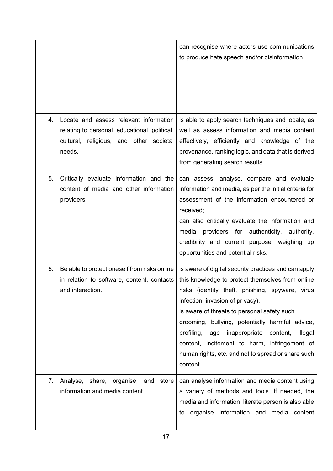|    |                                                                                                                                              | can recognise where actors use communications<br>to produce hate speech and/or disinformation.                                                                                                                                                                                                                                                                                                                                                                                |
|----|----------------------------------------------------------------------------------------------------------------------------------------------|-------------------------------------------------------------------------------------------------------------------------------------------------------------------------------------------------------------------------------------------------------------------------------------------------------------------------------------------------------------------------------------------------------------------------------------------------------------------------------|
| 4. | Locate and assess relevant information<br>relating to personal, educational, political,<br>cultural, religious, and other societal<br>needs. | is able to apply search techniques and locate, as<br>well as assess information and media content<br>effectively, efficiently and knowledge of the<br>provenance, ranking logic, and data that is derived<br>from generating search results.                                                                                                                                                                                                                                  |
| 5. | Critically evaluate information and the<br>content of media and other information<br>providers                                               | can assess, analyse, compare and evaluate<br>information and media, as per the initial criteria for<br>assessment of the information encountered or<br>received;<br>can also critically evaluate the information and<br>providers for authenticity, authority,<br>media<br>credibility and current purpose, weighing up<br>opportunities and potential risks.                                                                                                                 |
| 6. | Be able to protect oneself from risks online<br>in relation to software, content, contacts<br>and interaction.                               | is aware of digital security practices and can apply<br>this knowledge to protect themselves from online<br>risks (identity theft, phishing, spyware, virus<br>infection, invasion of privacy).<br>is aware of threats to personal safety such<br>grooming, bullying, potentially harmful advice,<br>profiling,<br>age inappropriate<br>content,<br>illegal<br>content, incitement to harm, infringement of<br>human rights, etc. and not to spread or share such<br>content. |
| 7. | share, organise,<br>Analyse,<br>and<br>store<br>information and media content                                                                | can analyse information and media content using<br>a variety of methods and tools. If needed, the<br>media and information literate person is also able<br>organise information and media content<br>to                                                                                                                                                                                                                                                                       |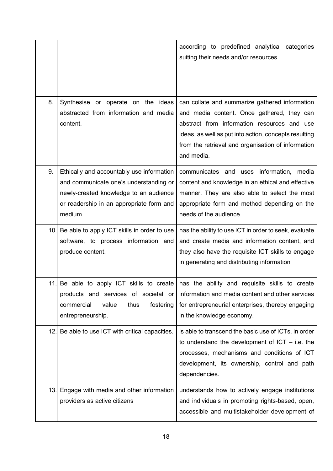|     |                                                                                                                                                                                      | according to predefined analytical categories<br>suiting their needs and/or resources                                                                                                                                                                                    |
|-----|--------------------------------------------------------------------------------------------------------------------------------------------------------------------------------------|--------------------------------------------------------------------------------------------------------------------------------------------------------------------------------------------------------------------------------------------------------------------------|
| 8.  | Synthesise or operate on the ideas<br>abstracted from information and media<br>content.                                                                                              | can collate and summarize gathered information<br>and media content. Once gathered, they can<br>abstract from information resources and use<br>ideas, as well as put into action, concepts resulting<br>from the retrieval and organisation of information<br>and media. |
| 9.  | Ethically and accountably use information<br>and communicate one's understanding or<br>newly-created knowledge to an audience<br>or readership in an appropriate form and<br>medium. | communicates and uses information, media<br>content and knowledge in an ethical and effective<br>manner. They are also able to select the most<br>appropriate form and method depending on the<br>needs of the audience.                                                 |
|     | 10. Be able to apply ICT skills in order to use<br>software, to process information and<br>produce content.                                                                          | has the ability to use ICT in order to seek, evaluate<br>and create media and information content, and<br>they also have the requisite ICT skills to engage<br>in generating and distributing information                                                                |
| 11. | Be able to apply ICT skills to create<br>products and services of societal or<br>commercial<br>value<br>thus<br>fostering<br>entrepreneurship.                                       | has the ability and requisite skills to create<br>information and media content and other services<br>for entrepreneurial enterprises, thereby engaging<br>in the knowledge economy.                                                                                     |
| 12. | Be able to use ICT with critical capacities.                                                                                                                                         | is able to transcend the basic use of ICTs, in order<br>to understand the development of $ICT - i.e.$ the<br>processes, mechanisms and conditions of ICT<br>development, its ownership, control and path<br>dependencies.                                                |
|     | 13. Engage with media and other information<br>providers as active citizens                                                                                                          | understands how to actively engage institutions<br>and individuals in promoting rights-based, open,<br>accessible and multistakeholder development of                                                                                                                    |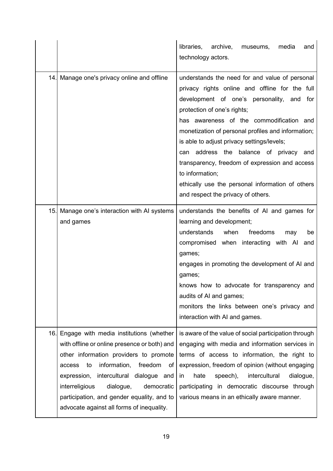|     |                                                                                                                                                                                                                                                                                                                                                                             | libraries, archive,<br>media<br>museums,<br>and<br>technology actors.                                                                                                                                                                                                                                                                                                                                                                                                                                                                       |
|-----|-----------------------------------------------------------------------------------------------------------------------------------------------------------------------------------------------------------------------------------------------------------------------------------------------------------------------------------------------------------------------------|---------------------------------------------------------------------------------------------------------------------------------------------------------------------------------------------------------------------------------------------------------------------------------------------------------------------------------------------------------------------------------------------------------------------------------------------------------------------------------------------------------------------------------------------|
| 14. | Manage one's privacy online and offline                                                                                                                                                                                                                                                                                                                                     | understands the need for and value of personal<br>privacy rights online and offline for the full<br>development of one's personality, and for<br>protection of one's rights;<br>has awareness of the commodification and<br>monetization of personal profiles and information;<br>is able to adjust privacy settings/levels;<br>address the balance of privacy<br>can<br>and<br>transparency, freedom of expression and access<br>to information;<br>ethically use the personal information of others<br>and respect the privacy of others. |
|     | 15. Manage one's interaction with AI systems<br>and games                                                                                                                                                                                                                                                                                                                   | understands the benefits of AI and games for<br>learning and development;<br>understands<br>when<br>freedoms<br>may<br>be<br>compromised when interacting with AI<br>and<br>games;<br>engages in promoting the development of AI and<br>games;<br>knows how to advocate for transparency and<br>audits of AI and games;<br>monitors the links between one's privacy and<br>interaction with AI and games.                                                                                                                                   |
|     | 16. Engage with media institutions (whether<br>with offline or online presence or both) and<br>other information providers to promote<br>information,<br>freedom<br>access<br>to<br>of<br>intercultural dialogue and<br>expression,<br>interreligious<br>dialogue,<br>democratic<br>participation, and gender equality, and to<br>advocate against all forms of inequality. | is aware of the value of social participation through<br>engaging with media and information services in<br>terms of access to information, the right to<br>expression, freedom of opinion (without engaging<br>hate<br>speech),<br>intercultural<br>dialogue,<br>in<br>participating in democratic discourse through<br>various means in an ethically aware manner.                                                                                                                                                                        |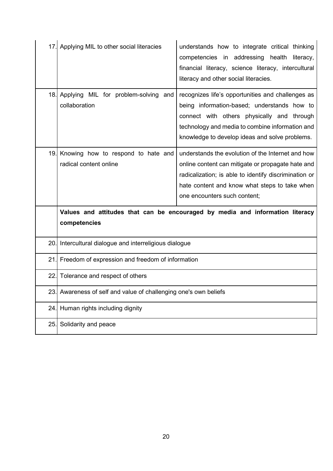| 17. | Applying MIL to other social literacies                          | understands how to integrate critical thinking<br>competencies in addressing health literacy,<br>financial literacy, science literacy, intercultural<br>literacy and other social literacies.                                                       |
|-----|------------------------------------------------------------------|-----------------------------------------------------------------------------------------------------------------------------------------------------------------------------------------------------------------------------------------------------|
| 18. | Applying MIL for problem-solving and<br>collaboration            | recognizes life's opportunities and challenges as<br>being information-based; understands how to<br>connect with others physically and through<br>technology and media to combine information and<br>knowledge to develop ideas and solve problems. |
|     | 19. Knowing how to respond to hate and<br>radical content online | understands the evolution of the Internet and how<br>online content can mitigate or propagate hate and<br>radicalization; is able to identify discrimination or<br>hate content and know what steps to take when<br>one encounters such content;    |
|     | competencies                                                     | Values and attitudes that can be encouraged by media and information literacy                                                                                                                                                                       |
| 20. | Intercultural dialogue and interreligious dialogue               |                                                                                                                                                                                                                                                     |
| 21  | Freedom of expression and freedom of information                 |                                                                                                                                                                                                                                                     |
| 22. | Tolerance and respect of others                                  |                                                                                                                                                                                                                                                     |
| 23. | Awareness of self and value of challenging one's own beliefs     |                                                                                                                                                                                                                                                     |
| 24. | Human rights including dignity                                   |                                                                                                                                                                                                                                                     |
| 25. | Solidarity and peace                                             |                                                                                                                                                                                                                                                     |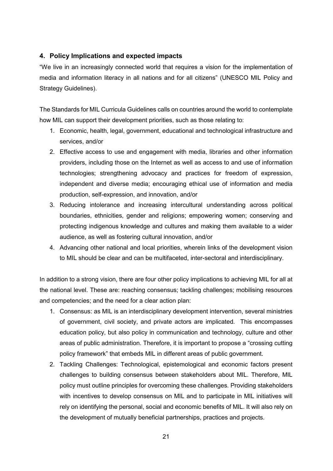### **4. Policy Implications and expected impacts**

"We live in an increasingly connected world that requires a vision for the implementation of media and information literacy in all nations and for all citizens" (UNESCO MIL Policy and Strategy Guidelines).

The Standards for MIL Curricula Guidelines calls on countries around the world to contemplate how MIL can support their development priorities, such as those relating to:

- 1. Economic, health, legal, government, educational and technological infrastructure and services, and/or
- 2. Effective access to use and engagement with media, libraries and other information providers, including those on the Internet as well as access to and use of information technologies; strengthening advocacy and practices for freedom of expression, independent and diverse media; encouraging ethical use of information and media production, self-expression, and innovation, and/or
- 3. Reducing intolerance and increasing intercultural understanding across political boundaries, ethnicities, gender and religions; empowering women; conserving and protecting indigenous knowledge and cultures and making them available to a wider audience, as well as fostering cultural innovation, and/or
- 4. Advancing other national and local priorities, wherein links of the development vision to MIL should be clear and can be multifaceted, inter-sectoral and interdisciplinary.

In addition to a strong vision, there are four other policy implications to achieving MIL for all at the national level. These are: reaching consensus; tackling challenges; mobilising resources and competencies; and the need for a clear action plan:

- 1. Consensus: as MIL is an interdisciplinary development intervention, several ministries of government, civil society, and private actors are implicated. This encompasses education policy, but also policy in communication and technology, culture and other areas of public administration. Therefore, it is important to propose a "crossing cutting policy framework" that embeds MIL in different areas of public government.
- 2. Tackling Challenges: Technological, epistemological and economic factors present challenges to building consensus between stakeholders about MIL. Therefore, MIL policy must outline principles for overcoming these challenges. Providing stakeholders with incentives to develop consensus on MIL and to participate in MIL initiatives will rely on identifying the personal, social and economic benefits of MIL. It will also rely on the development of mutually beneficial partnerships, practices and projects.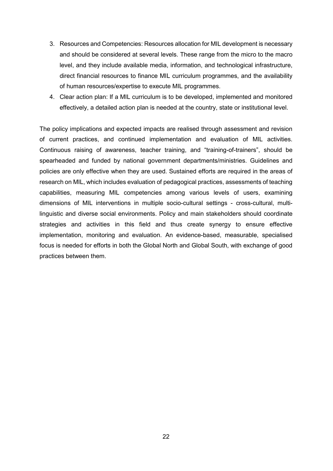- 3. Resources and Competencies: Resources allocation for MIL development is necessary and should be considered at several levels. These range from the micro to the macro level, and they include available media, information, and technological infrastructure, direct financial resources to finance MIL curriculum programmes, and the availability of human resources/expertise to execute MIL programmes.
- 4. Clear action plan: If a MIL curriculum is to be developed, implemented and monitored effectively, a detailed action plan is needed at the country, state or institutional level.

The policy implications and expected impacts are realised through assessment and revision of current practices, and continued implementation and evaluation of MIL activities. Continuous raising of awareness, teacher training, and "training-of-trainers", should be spearheaded and funded by national government departments/ministries. Guidelines and policies are only effective when they are used. Sustained efforts are required in the areas of research on MIL, which includes evaluation of pedagogical practices, assessments of teaching capabilities, measuring MIL competencies among various levels of users, examining dimensions of MIL interventions in multiple socio-cultural settings - cross-cultural, multilinguistic and diverse social environments. Policy and main stakeholders should coordinate strategies and activities in this field and thus create synergy to ensure effective implementation, monitoring and evaluation. An evidence-based, measurable, specialised focus is needed for efforts in both the Global North and Global South, with exchange of good practices between them.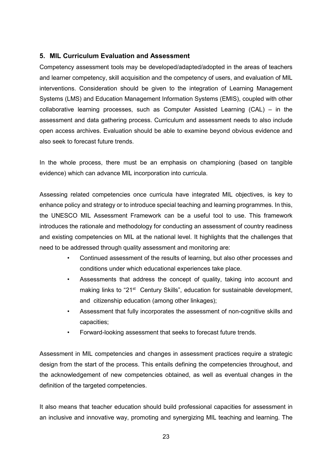#### **5. MIL Curriculum Evaluation and Assessment**

Competency assessment tools may be developed/adapted/adopted in the areas of teachers and learner competency, skill acquisition and the competency of users, and evaluation of MIL interventions. Consideration should be given to the integration of Learning Management Systems (LMS) and Education Management Information Systems (EMIS), coupled with other collaborative learning processes, such as Computer Assisted Learning (CAL) – in the assessment and data gathering process. Curriculum and assessment needs to also include open access archives. Evaluation should be able to examine beyond obvious evidence and also seek to forecast future trends.

In the whole process, there must be an emphasis on championing (based on tangible evidence) which can advance MIL incorporation into curricula.

Assessing related competencies once curricula have integrated MIL objectives, is key to enhance policy and strategy or to introduce special teaching and learning programmes. In this, the UNESCO MIL Assessment Framework can be a useful tool to use. This framework introduces the rationale and methodology for conducting an assessment of country readiness and existing competencies on MIL at the national level. It highlights that the challenges that need to be addressed through quality assessment and monitoring are:

- Continued assessment of the results of learning, but also other processes and conditions under which educational experiences take place.
- Assessments that address the concept of quality, taking into account and making links to "21 $st$  Century Skills", education for sustainable development, and citizenship education (among other linkages);
- Assessment that fully incorporates the assessment of non-cognitive skills and capacities;
- Forward-looking assessment that seeks to forecast future trends.

Assessment in MIL competencies and changes in assessment practices require a strategic design from the start of the process. This entails defining the competencies throughout, and the acknowledgement of new competencies obtained, as well as eventual changes in the definition of the targeted competencies.

It also means that teacher education should build professional capacities for assessment in an inclusive and innovative way, promoting and synergizing MIL teaching and learning. The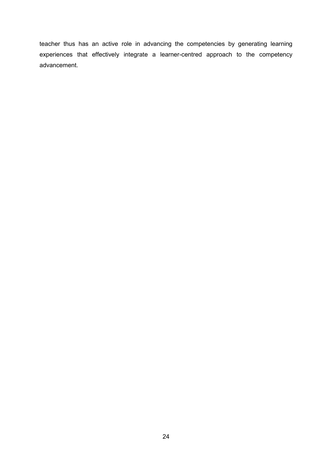teacher thus has an active role in advancing the competencies by generating learning experiences that effectively integrate a learner-centred approach to the competency advancement.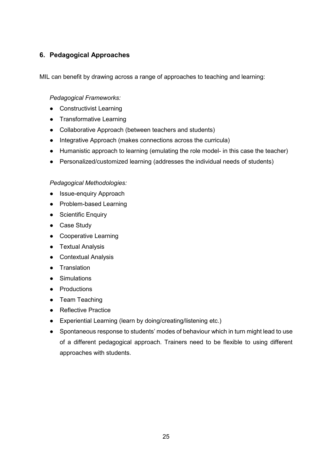# **6. Pedagogical Approaches**

MIL can benefit by drawing across a range of approaches to teaching and learning:

#### *Pedagogical Frameworks:*

- Constructivist Learning
- Transformative Learning
- Collaborative Approach (between teachers and students)
- Integrative Approach (makes connections across the curricula)
- Humanistic approach to learning (emulating the role model- in this case the teacher)
- Personalized/customized learning (addresses the individual needs of students)

#### *Pedagogical Methodologies:*

- Issue-enquiry Approach
- Problem-based Learning
- Scientific Enquiry
- Case Study
- Cooperative Learning
- Textual Analysis
- Contextual Analysis
- Translation
- Simulations
- Productions
- Team Teaching
- Reflective Practice
- Experiential Learning (learn by doing/creating/listening etc.)
- Spontaneous response to students' modes of behaviour which in turn might lead to use of a different pedagogical approach. Trainers need to be flexible to using different approaches with students.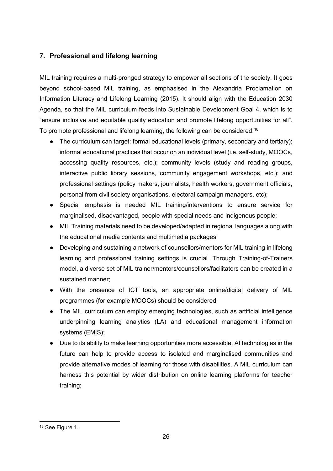# **7. Professional and lifelong learning**

MIL training requires a multi-pronged strategy to empower all sections of the society. It goes beyond school-based MIL training, as emphasised in the Alexandria Proclamation on Information Literacy and Lifelong Learning (2015). It should align with the Education 2030 Agenda, so that the MIL curriculum feeds into Sustainable Development Goal 4, which is to "ensure inclusive and equitable quality education and promote lifelong opportunities for all". To promote professional and lifelong learning, the following can be considered: $^{\rm 18}$  $^{\rm 18}$  $^{\rm 18}$ 

- The curriculum can target: formal educational levels (primary, secondary and tertiary); informal educational practices that occur on an individual level (i.e. self-study, MOOCs, accessing quality resources, etc.); community levels (study and reading groups, interactive public library sessions, community engagement workshops, etc.); and professional settings (policy makers, journalists, health workers, government officials, personal from civil society organisations, electoral campaign managers, etc);
- Special emphasis is needed MIL training/interventions to ensure service for marginalised, disadvantaged, people with special needs and indigenous people;
- MIL Training materials need to be developed/adapted in regional languages along with the educational media contents and multimedia packages;
- Developing and sustaining a network of counsellors/mentors for MIL training in lifelong learning and professional training settings is crucial. Through Training-of-Trainers model, a diverse set of MIL trainer/mentors/counsellors/facilitators can be created in a sustained manner;
- With the presence of ICT tools, an appropriate online/digital delivery of MIL programmes (for example MOOCs) should be considered;
- The MIL curriculum can employ emerging technologies, such as artificial intelligence underpinning learning analytics (LA) and educational management information systems (EMIS);
- Due to its ability to make learning opportunities more accessible, AI technologies in the future can help to provide access to isolated and marginalised communities and provide alternative modes of learning for those with disabilities. A MIL curriculum can harness this potential by wider distribution on online learning platforms for teacher training;

<span id="page-25-0"></span> <sup>18</sup> See Figure 1.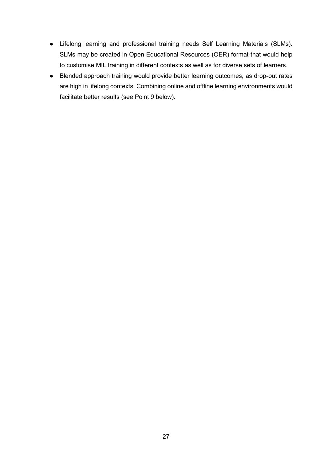- Lifelong learning and professional training needs Self Learning Materials (SLMs). SLMs may be created in Open Educational Resources (OER) format that would help to customise MIL training in different contexts as well as for diverse sets of learners.
- Blended approach training would provide better learning outcomes, as drop-out rates are high in lifelong contexts. Combining online and offline learning environments would facilitate better results (see Point 9 below).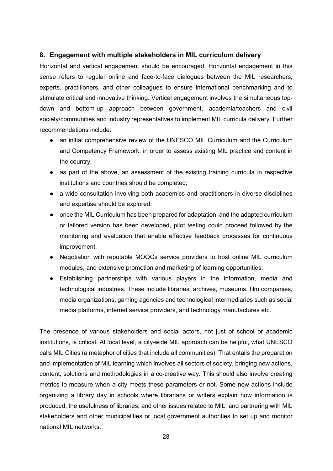#### **8. Engagement with multiple stakeholders in MIL curriculum delivery**

Horizontal and vertical engagement should be encouraged. Horizontal engagement in this sense refers to regular online and face-to-face dialogues between the MIL researchers, experts, practitioners, and other colleagues to ensure international benchmarking and to stimulate critical and innovative thinking. Vertical engagement involves the simultaneous topdown and bottom-up approach between government, academia/teachers and civil society/communities and industry representatives to implement MIL curricula delivery. Further recommendations include:

- an initial comprehensive review of the UNESCO MIL Curriculum and the Curriculum and Competency Framework, in order to assess existing MIL practice and content in the country;
- as part of the above, an assessment of the existing training curricula in respective institutions and countries should be completed;
- a wide consultation involving both academics and practitioners in diverse disciplines and expertise should be explored;
- once the MIL Curriculum has been prepared for adaptation, and the adapted curriculum or tailored version has been developed, pilot testing could proceed followed by the monitoring and evaluation that enable effective feedback processes for continuous improvement;
- Negotiation with reputable MOOCs service providers to host online MIL curriculum modules, and extensive promotion and marketing of learning opportunities;
- Establishing partnerships with various players in the information, media and technological industries. These include libraries, archives, museums, film companies, media organizations, gaming agencies and technological intermediaries such as social media platforms, internet service providers, and technology manufactures etc.

The presence of various stakeholders and social actors, not just of school or academic institutions, is critical. At local level, a city-wide MIL approach can be helpful, what UNESCO calls MIL Cities (a metaphor of cities that include all communities). That entails the preparation and implementation of MIL learning which involves all sectors of society, bringing new actions, content, solutions and methodologies in a co-creative way. This should also involve creating metrics to measure when a city meets these parameters or not. Some new actions include organizing a library day in schools where librarians or writers explain how information is produced, the usefulness of libraries, and other issues related to MIL, and partnering with MIL stakeholders and other municipalities or local government authorities to set up and monitor national MIL networks.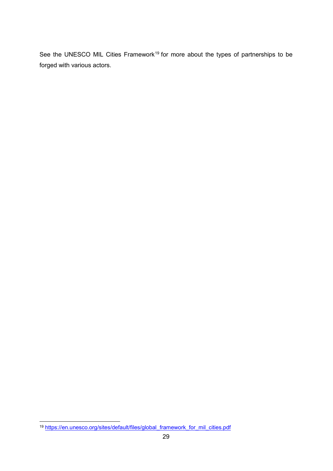See the UNESCO MIL Cities Framework<sup>[19](#page-28-0)</sup> for more about the types of partnerships to be forged with various actors.

<span id="page-28-0"></span> <sup>19</sup> [https://en.unesco.org/sites/default/files/global\\_framework\\_for\\_mil\\_cities.pdf](https://en.unesco.org/sites/default/files/global_framework_for_mil_cities.pdf)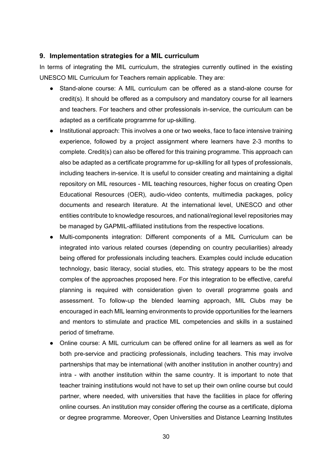#### **9. Implementation strategies for a MIL curriculum**

In terms of integrating the MIL curriculum, the strategies currently outlined in the existing UNESCO MIL Curriculum for Teachers remain applicable. They are:

- Stand-alone course: A MIL curriculum can be offered as a stand-alone course for credit(s). It should be offered as a compulsory and mandatory course for all learners and teachers. For teachers and other professionals in-service, the curriculum can be adapted as a certificate programme for up-skilling.
- Institutional approach: This involves a one or two weeks, face to face intensive training experience, followed by a project assignment where learners have 2-3 months to complete. Credit(s) can also be offered for this training programme. This approach can also be adapted as a certificate programme for up-skilling for all types of professionals, including teachers in-service. It is useful to consider creating and maintaining a digital repository on MIL resources - MIL teaching resources, higher focus on creating Open Educational Resources (OER), audio-video contents, multimedia packages, policy documents and research literature. At the international level, UNESCO and other entities contribute to knowledge resources, and national/regional level repositories may be managed by GAPMIL-affiliated institutions from the respective locations.
- Multi-components integration: Different components of a MIL Curriculum can be integrated into various related courses (depending on country peculiarities) already being offered for professionals including teachers. Examples could include education technology, basic literacy, social studies, etc. This strategy appears to be the most complex of the approaches proposed here. For this integration to be effective, careful planning is required with consideration given to overall programme goals and assessment. To follow-up the blended learning approach, MIL Clubs may be encouraged in each MIL learning environments to provide opportunities for the learners and mentors to stimulate and practice MIL competencies and skills in a sustained period of timeframe.
- Online course: A MIL curriculum can be offered online for all learners as well as for both pre-service and practicing professionals, including teachers. This may involve partnerships that may be international (with another institution in another country) and intra - with another institution within the same country. It is important to note that teacher training institutions would not have to set up their own online course but could partner, where needed, with universities that have the facilities in place for offering online courses. An institution may consider offering the course as a certificate, diploma or degree programme. Moreover, Open Universities and Distance Learning Institutes